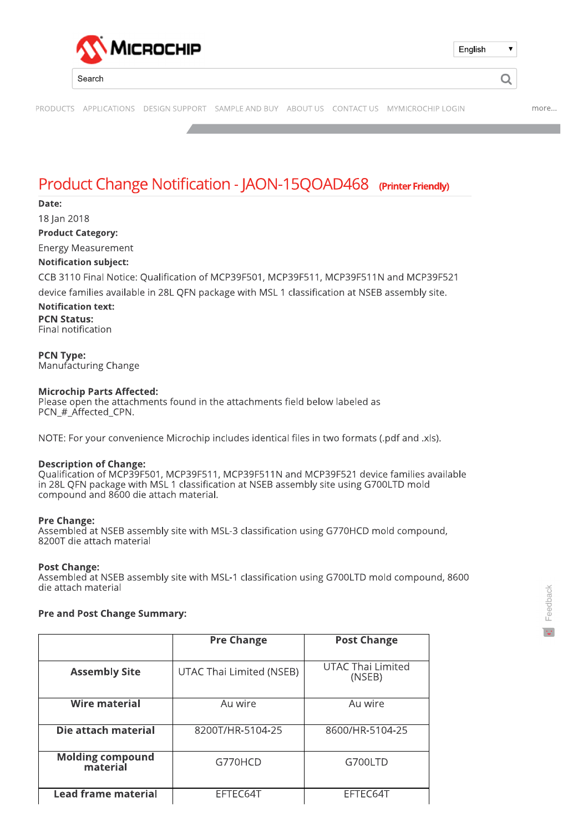

# Product Change Notification - JAON-15QOAD468 (Printer Friendly)

Date: 18 Jan 2018 **Product Category:** 

**Energy Measurement** 

# **Notification subject:**

CCB 3110 Final Notice: Oualification of MCP39F501. MCP39F511. MCP39F511N and MCP39F521

device families available in 28L QFN package with MSL 1 classification at NSEB assembly site.

**Notification text:** 

**PCN Status:** Final notification

**PCN Type:** Manufacturing Change

#### **Microchip Parts Affected:**

Please open the attachments found in the attachments field below labeled as PCN # Affected CPN.

NOTE: For your convenience Microchip includes identical files in two formats (.pdf and .xls).

#### **Description of Change:**

Oualification of MCP39F501, MCP39F511, MCP39F511N and MCP39F521 device families available in 28L QFN package with MSL 1 classification at NSEB assembly site using G700LTD mold compound and 8600 die attach material.

#### **Pre Change:**

Assembled at NSEB assembly site with MSL-3 classification using G770HCD mold compound, 8200T die attach material

#### **Post Change:**

Assembled at NSEB assembly site with MSL-1 classification using G700LTD mold compound, 8600 die attach material

#### **Pre and Post Change Summary:**

|                                     | <b>Pre Change</b>        | <b>Post Change</b>                 |  |  |  |
|-------------------------------------|--------------------------|------------------------------------|--|--|--|
|                                     |                          |                                    |  |  |  |
| <b>Assembly Site</b>                | UTAC Thai Limited (NSEB) | <b>UTAC Thai Limited</b><br>(NSEB) |  |  |  |
|                                     |                          |                                    |  |  |  |
| Wire material                       | Au wire                  | Au wire                            |  |  |  |
| Die attach material                 | 8200T/HR-5104-25         | 8600/HR-5104-25                    |  |  |  |
| <b>Molding compound</b><br>material | G770HCD                  | G700LTD                            |  |  |  |
| <b>Lead frame material</b>          | EFTEC64T                 | EFTEC64T                           |  |  |  |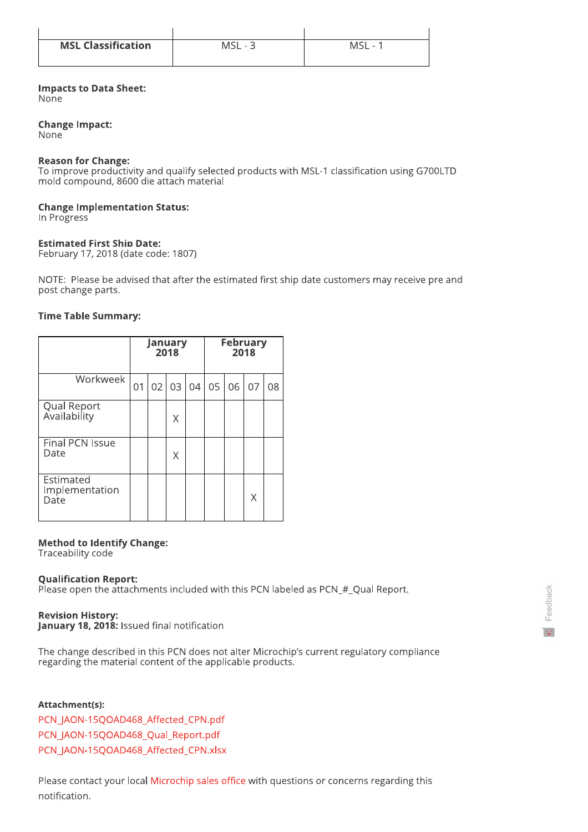| <b>MSL Classification</b> | <b>MSL</b><br>$\overline{\phantom{a}}$ | MS<br>$\overline{\phantom{a}}$ |
|---------------------------|----------------------------------------|--------------------------------|
|                           |                                        |                                |

## **Impacts to Data Sheet:**

None

## **Change Impact:**

None

#### **Reason for Change:**

To improve productivity and qualify selected products with MSL-1 classification using G700LTD mold compound, 8600 die attach material

## **Change Implementation Status:**

In Progress

## **Estimated First Ship Date:**

February 17, 2018 (date code: 1807)

NOTE: Please be advised that after the estimated first ship date customers may receive pre and post change parts.

## **Time Table Summary:**

|                                     | January<br>2018 |    |    |    | <b>February</b><br>2018 |    |    |    |
|-------------------------------------|-----------------|----|----|----|-------------------------|----|----|----|
| Workweek                            | 01              | 02 | 03 | 04 | 05                      | 06 | 07 | 08 |
| Qual Report<br>Availability         |                 |    | Χ  |    |                         |    |    |    |
| Final PCN Issue<br>Date             |                 |    | Χ  |    |                         |    |    |    |
| Estimated<br>Implementation<br>Date |                 |    |    |    |                         |    | X  |    |

## **Method to Identify Change:**

Traceability code

## **Qualification Report:**

Please open the attachments included with this PCN labeled as PCN\_#\_Qual Report.

## **Revision History:**

January 18, 2018: Issued final notification

The change described in this PCN does not alter Microchip's current regulatory compliance regarding the material content of the applicable products.

## Attachment(s):

PCN\_JAON-15QOAD468\_Affected\_CPN.pdf PCN JAON-15QOAD468 Qual Report.pdf PCN\_JAON-15QOAD468\_Affected\_CPN.xlsx

Please contact your local Microchip sales office with questions or concerns regarding this notification.